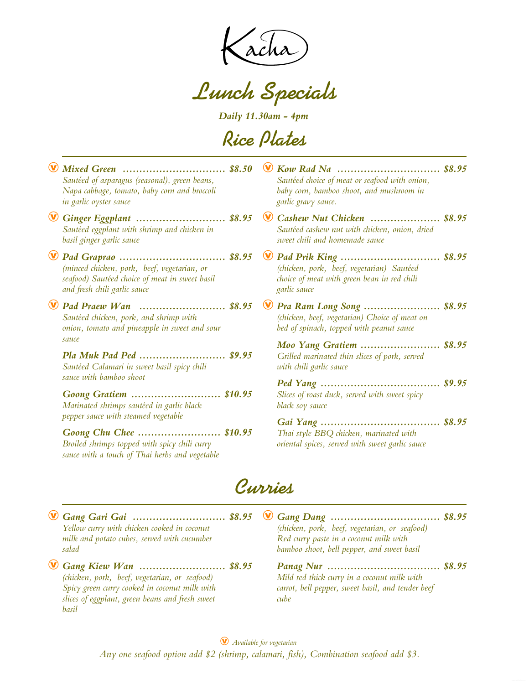**Lunch Specials**

*Daily 11.30am - 4pm*

**Rice Plates**

| Mixed Green  \$8.50<br>Sautéed of asparagus (seasonal), green beans,<br>Napa cabbage, tomato, baby corn and broccoli<br>in garlic oyster sauce                                                                                                                                                                                                         | Sautéed choice of meat or seafood with onion,<br>baby corn, bamboo shoot, and mushroom in<br>garlic gravy sauce.       |  |
|--------------------------------------------------------------------------------------------------------------------------------------------------------------------------------------------------------------------------------------------------------------------------------------------------------------------------------------------------------|------------------------------------------------------------------------------------------------------------------------|--|
| Ginger Eggplant  \$8.95<br>Sautéed eggplant with shrimp and chicken in<br>basil ginger garlic sauce                                                                                                                                                                                                                                                    | Cashew Nut Chicken  \$8.95<br>Sautéed cashew nut with chicken, onion, dried<br>sweet chili and homemade sauce          |  |
| (minced chicken, pork, beef, vegetarian, or<br>seafood) Sautéed choice of meat in sweet basil<br>and fresh chili garlic sauce                                                                                                                                                                                                                          | (chicken, pork, beef, vegetarian) Sautéed<br>choice of meat with green bean in red chili<br>garlic sauce               |  |
| Pad Praew Wan  \$8.95<br>Sautéed chicken, pork, and shrimp with<br>onion, tomato and pineapple in sweet and sour                                                                                                                                                                                                                                       | Pra Ram Long Song  \$8.95<br>(chicken, beef, vegetarian) Choice of meat on<br>bed of spinach, topped with peanut sauce |  |
| sauce<br>Pla Muk Pad Ped  \$9.95<br>Sautéed Calamari in sweet basil spicy chili<br>sauce with bamboo shoot<br>Goong Gratiem  \$10.95<br>Marinated shrimps sautéed in garlic black<br>pepper sauce with steamed vegetable<br>Goong Chu Chee  \$10.95<br>Broiled shrimps topped with spicy chili curry<br>sauce with a touch of Thai herbs and vegetable | <b>Moo Yang Gratiem  \$8.95</b><br>Grilled marinated thin slices of pork, served<br>with chili garlic sauce            |  |
|                                                                                                                                                                                                                                                                                                                                                        | Slices of roast duck, served with sweet spicy<br>black soy sauce                                                       |  |
|                                                                                                                                                                                                                                                                                                                                                        | Thai style BBQ chicken, marinated with<br>oriental spices, served with sweet garlic sauce                              |  |

**Curries**

Æ *Gang Gari Gai ............................ \$8.95* Æ *Gang Dang Yellow curry with chicken cooked in coconut milk and potato cubes, served with cucumber salad (chicken, pork, beef, vegetarian, or seafood) Red curry paste in a coconut milk with bamboo shoot, bell pepper, and sweet basil ................................. \$8.95* Æ *Gang Kiew Wan .......................... \$8.95 Panag Nur (chicken, pork, beef, vegetarian, or seafood) Spicy green curry cooked in coconut milk with slices of eggplant, green beans and fresh sweet basil Mild red thick curry in a coconut milk with carrot, bell pepper, sweet basil, and tender beef cube .................................. \$8.95*